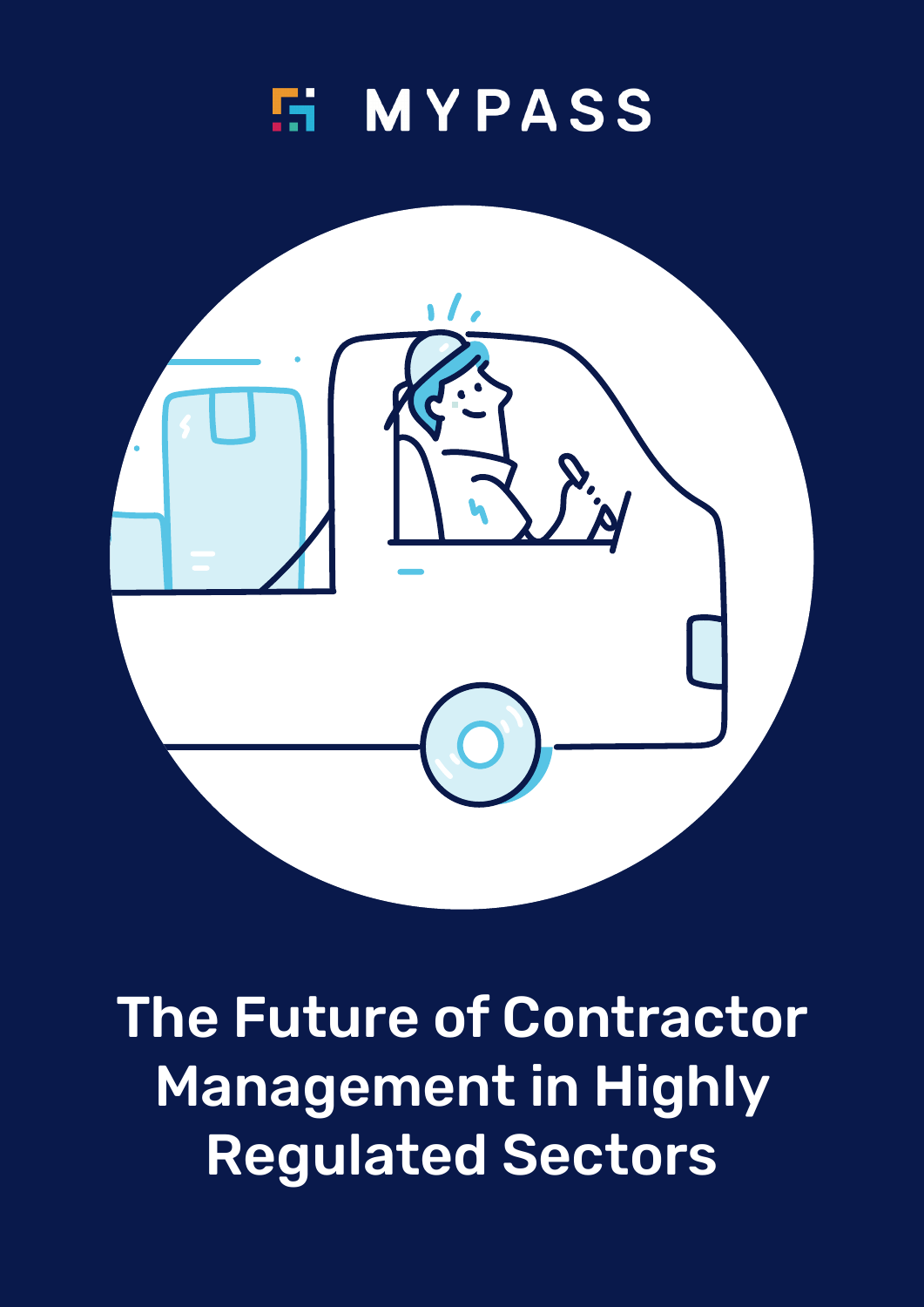



The Future of Contractor Management in Highly Regulated Sectors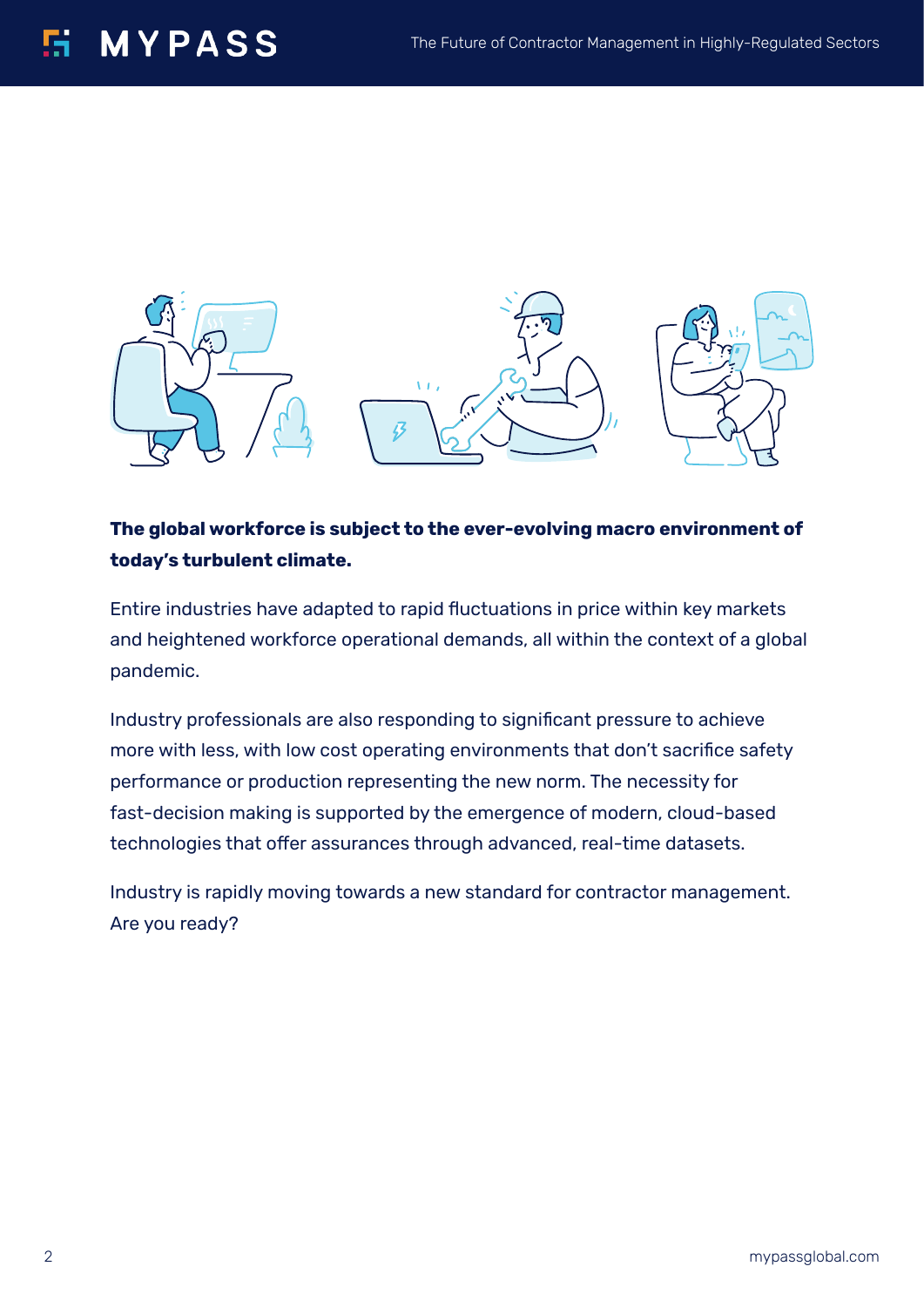## **MYPASS**



#### **The global workforce is subject to the ever-evolving macro environment of today's turbulent climate.**

Entire industries have adapted to rapid fluctuations in price within key markets and heightened workforce operational demands, all within the context of a global pandemic.

Industry professionals are also responding to significant pressure to achieve more with less, with low cost operating environments that don't sacrifice safety performance or production representing the new norm. The necessity for fast-decision making is supported by the emergence of modern, cloud-based technologies that offer assurances through advanced, real-time datasets.

Industry is rapidly moving towards a new standard for contractor management. Are you ready?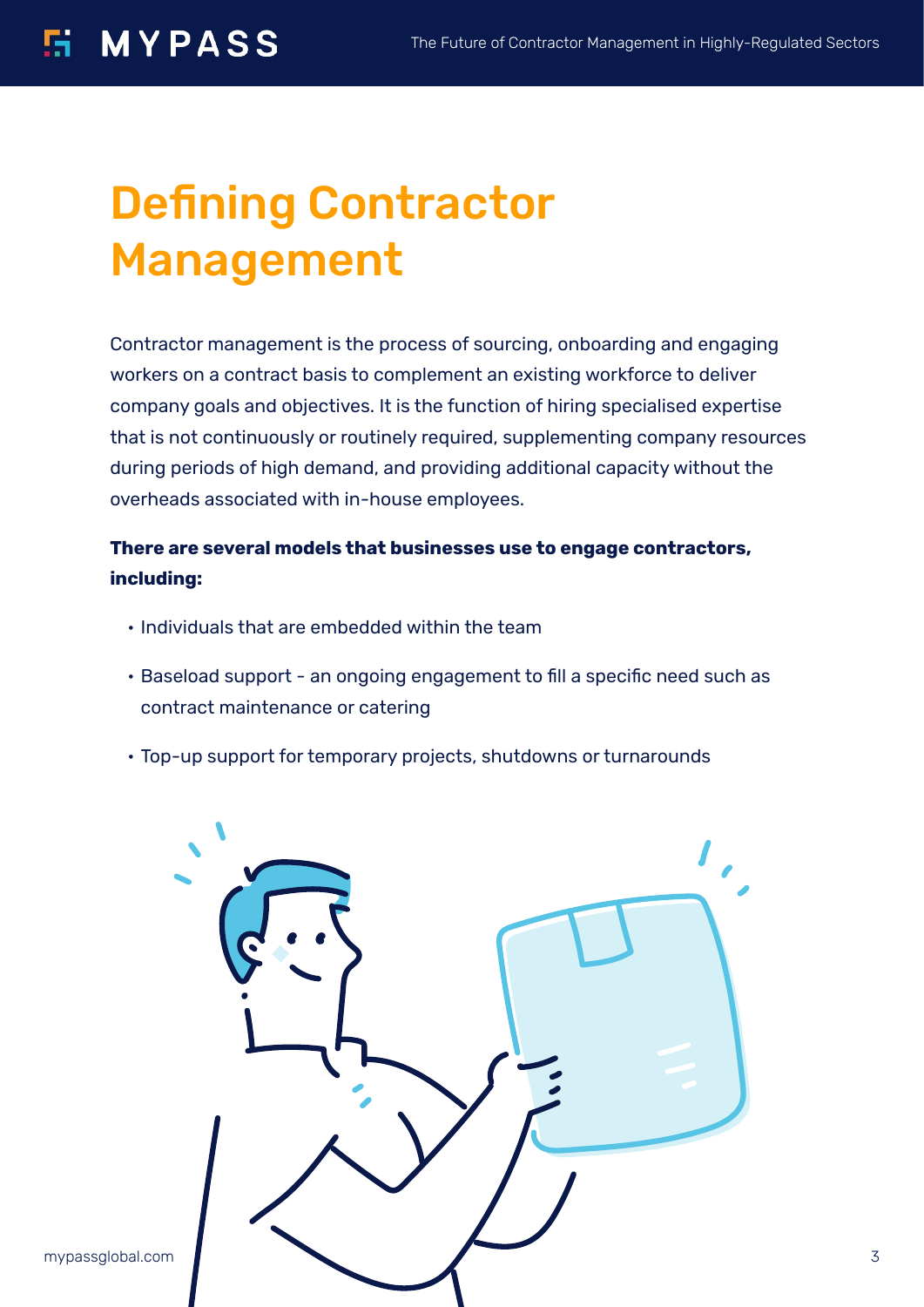# Defining Contractor Management

Contractor management is the process of sourcing, onboarding and engaging workers on a contract basis to complement an existing workforce to deliver company goals and objectives. It is the function of hiring specialised expertise that is not continuously or routinely required, supplementing company resources during periods of high demand, and providing additional capacity without the overheads associated with in-house employees.

#### **There are several models that businesses use to engage contractors, including:**

- Individuals that are embedded within the team
- Baseload support an ongoing engagement to fill a specific need such as contract maintenance or catering
- Top-up support for temporary projects, shutdowns or turnarounds

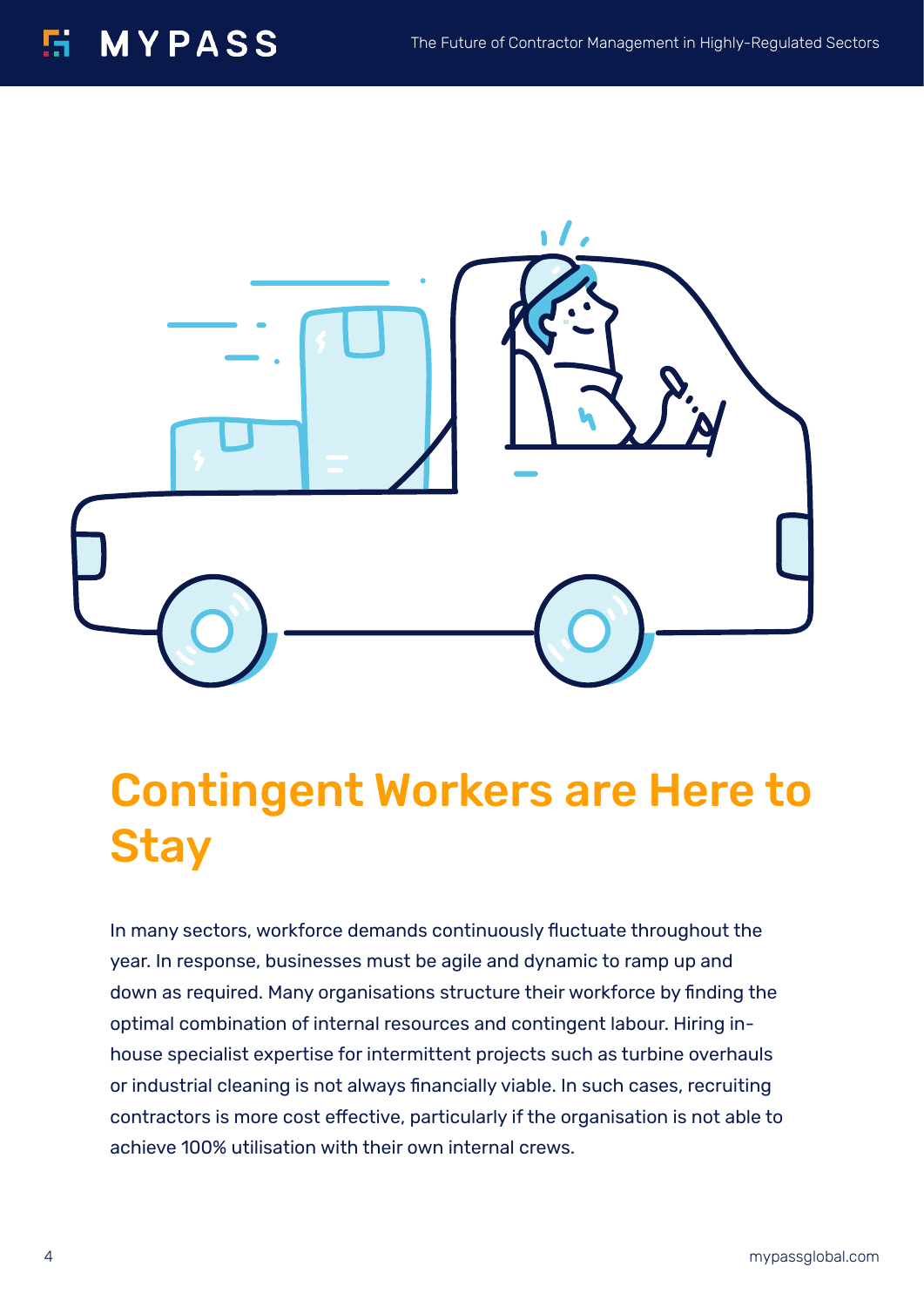

# Contingent Workers are Here to **Stay**

In many sectors, workforce demands continuously fluctuate throughout the year. In response, businesses must be agile and dynamic to ramp up and down as required. Many organisations structure their workforce by finding the optimal combination of internal resources and contingent labour. Hiring inhouse specialist expertise for intermittent projects such as turbine overhauls or industrial cleaning is not always financially viable. In such cases, recruiting contractors is more cost effective, particularly if the organisation is not able to achieve 100% utilisation with their own internal crews.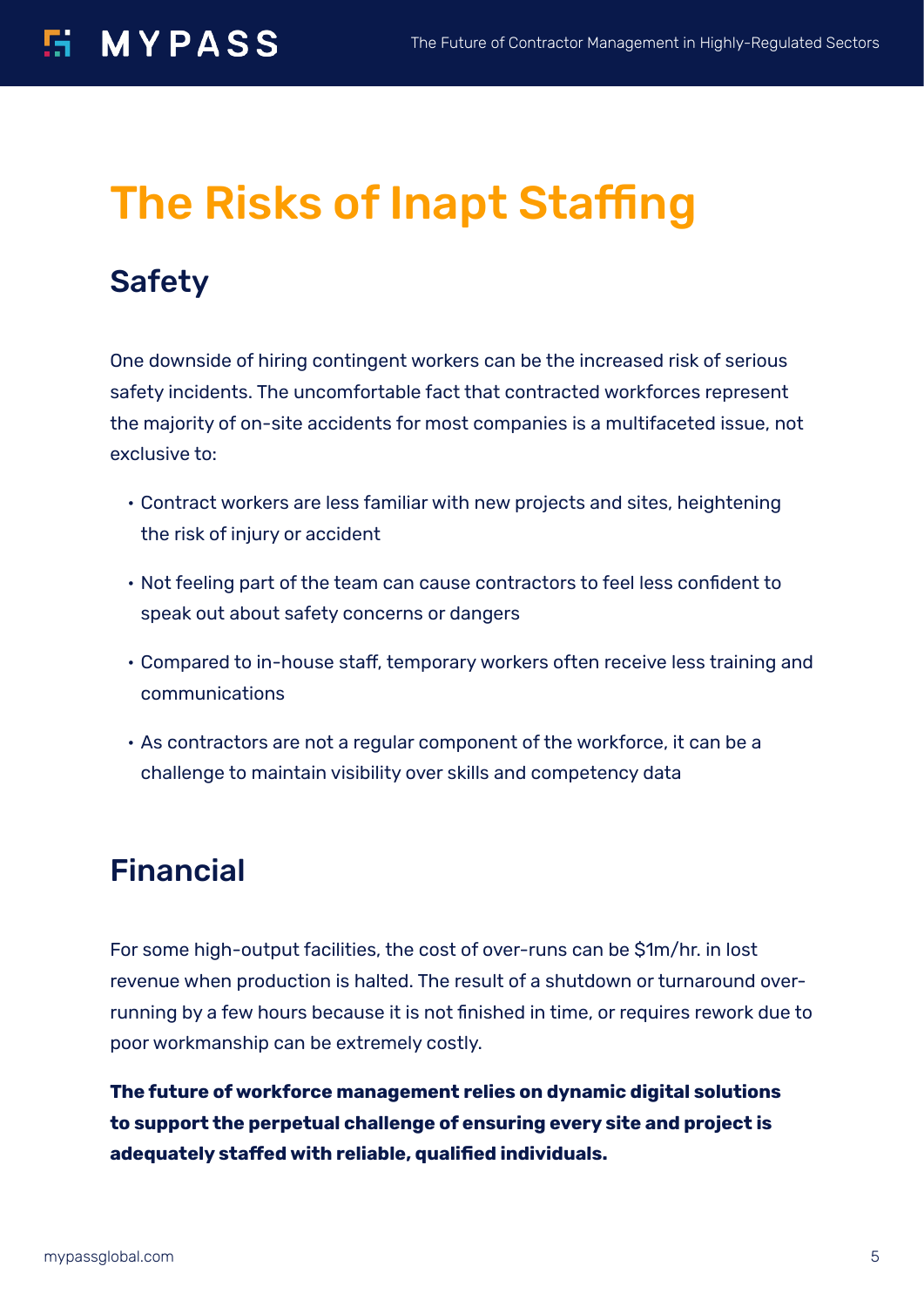# The Risks of Inapt Staffing

## Safety

One downside of hiring contingent workers can be the increased risk of serious safety incidents. The uncomfortable fact that contracted workforces represent the majority of on-site accidents for most companies is a multifaceted issue, not exclusive to:

- Contract workers are less familiar with new projects and sites, heightening the risk of injury or accident
- Not feeling part of the team can cause contractors to feel less confident to speak out about safety concerns or dangers
- Compared to in-house staff, temporary workers often receive less training and communications
- As contractors are not a regular component of the workforce, it can be a challenge to maintain visibility over skills and competency data

## Financial

For some high-output facilities, the cost of over-runs can be \$1m/hr. in lost revenue when production is halted. The result of a shutdown or turnaround overrunning by a few hours because it is not finished in time, or requires rework due to poor workmanship can be extremely costly.

**The future of workforce management relies on dynamic digital solutions to support the perpetual challenge of ensuring every site and project is adequately staffed with reliable, qualified individuals.**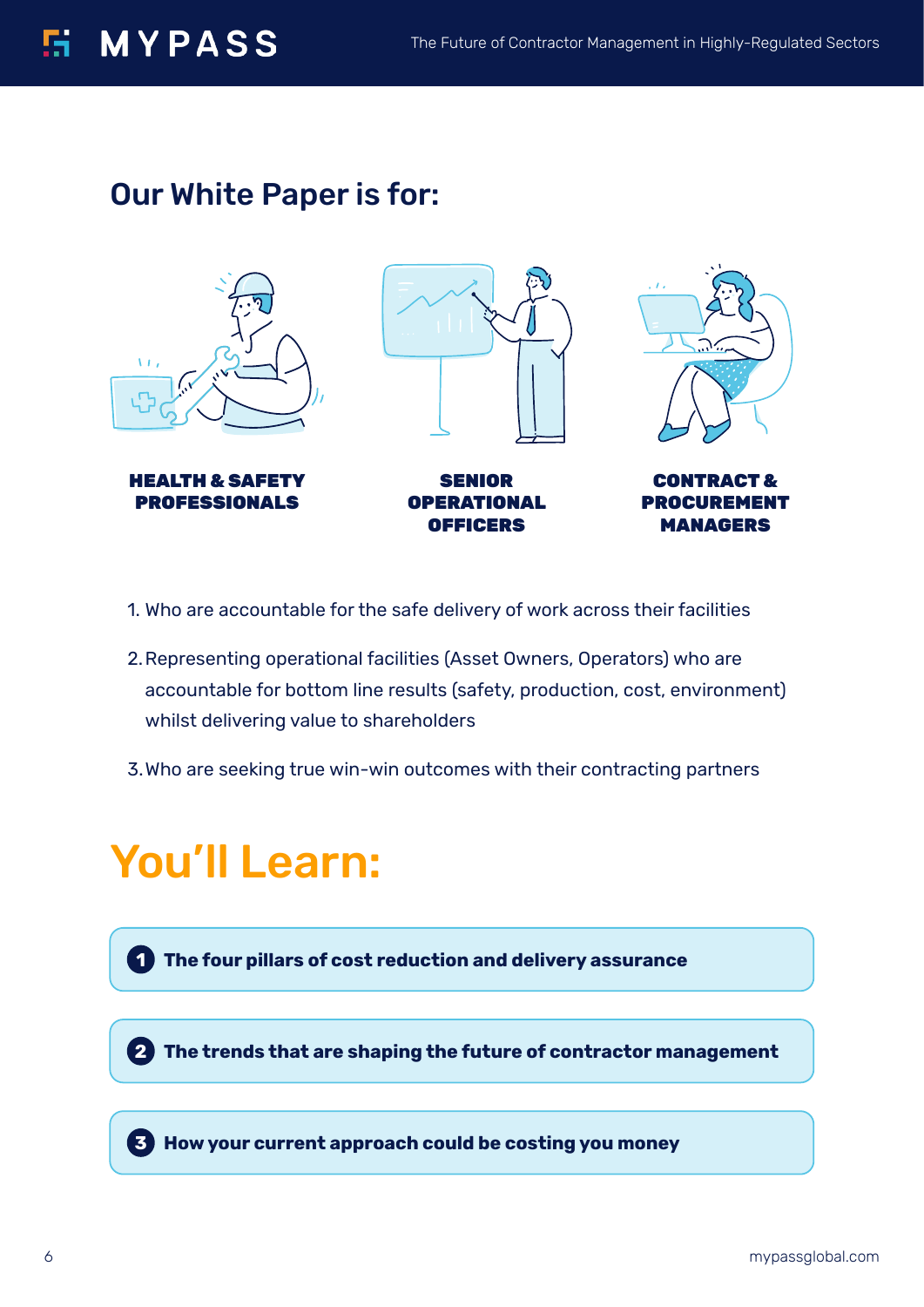## **E MYPASS**

### Our White Paper is for:



- 1. Who are accountable for the safe delivery of work across their facilities
- 2.Representing operational facilities (Asset Owners, Operators) who are accountable for bottom line results (safety, production, cost, environment) whilst delivering value to shareholders
- 3.Who are seeking true win-win outcomes with their contracting partners

# You'll Learn:

**The four pillars of cost reduction and delivery assurance 1**

**The trends that are shaping the future of contractor management 2**

**How your current approach could be costing you money 3**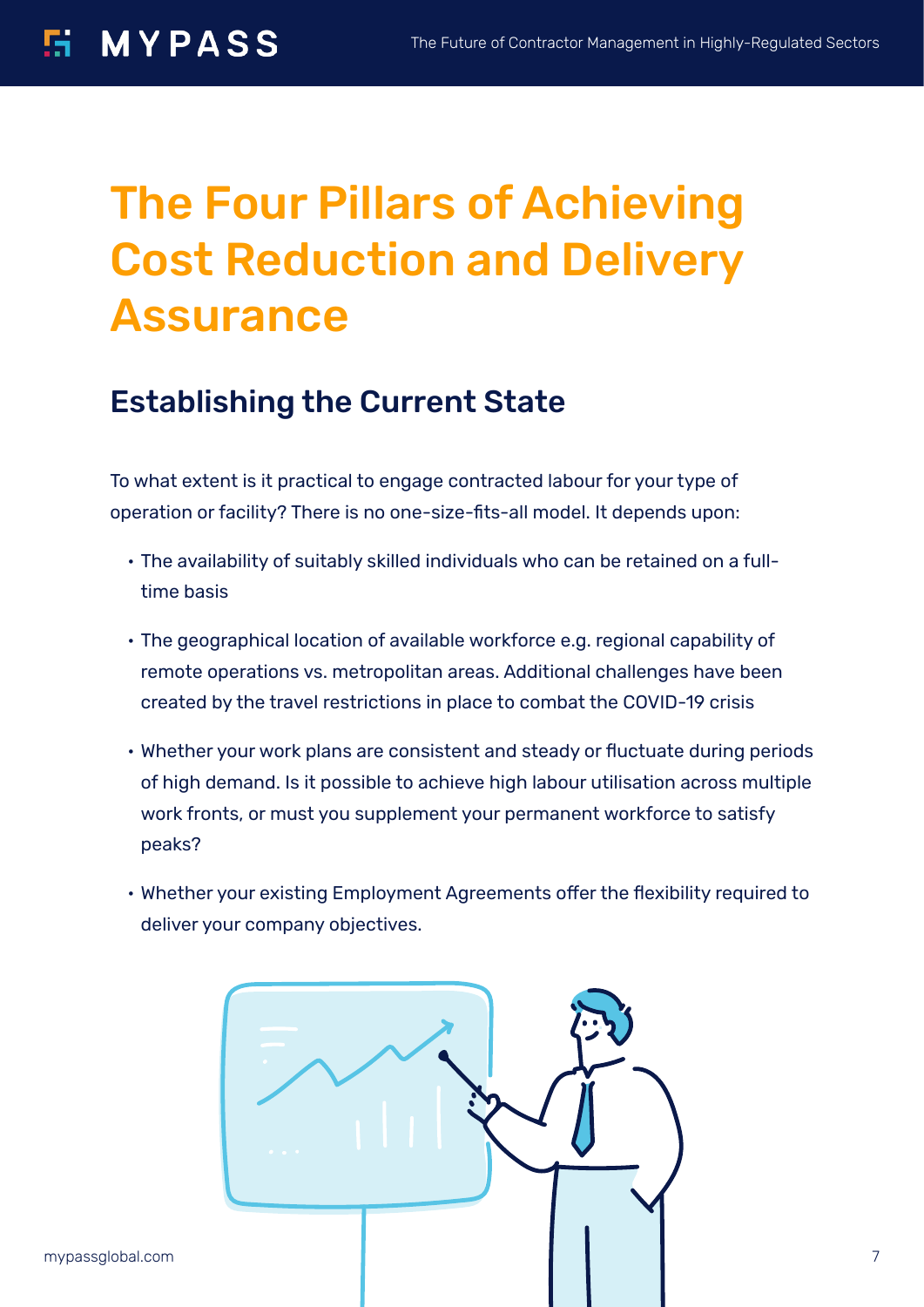# The Four Pillars of Achieving Cost Reduction and Delivery Assurance

### Establishing the Current State

To what extent is it practical to engage contracted labour for your type of operation or facility? There is no one-size-fits-all model. It depends upon:

- The availability of suitably skilled individuals who can be retained on a fulltime basis
- The geographical location of available workforce e.g. regional capability of remote operations vs. metropolitan areas. Additional challenges have been created by the travel restrictions in place to combat the COVID-19 crisis
- Whether your work plans are consistent and steady or fluctuate during periods of high demand. Is it possible to achieve high labour utilisation across multiple work fronts, or must you supplement your permanent workforce to satisfy peaks?
- Whether your existing Employment Agreements offer the flexibility required to deliver your company objectives.

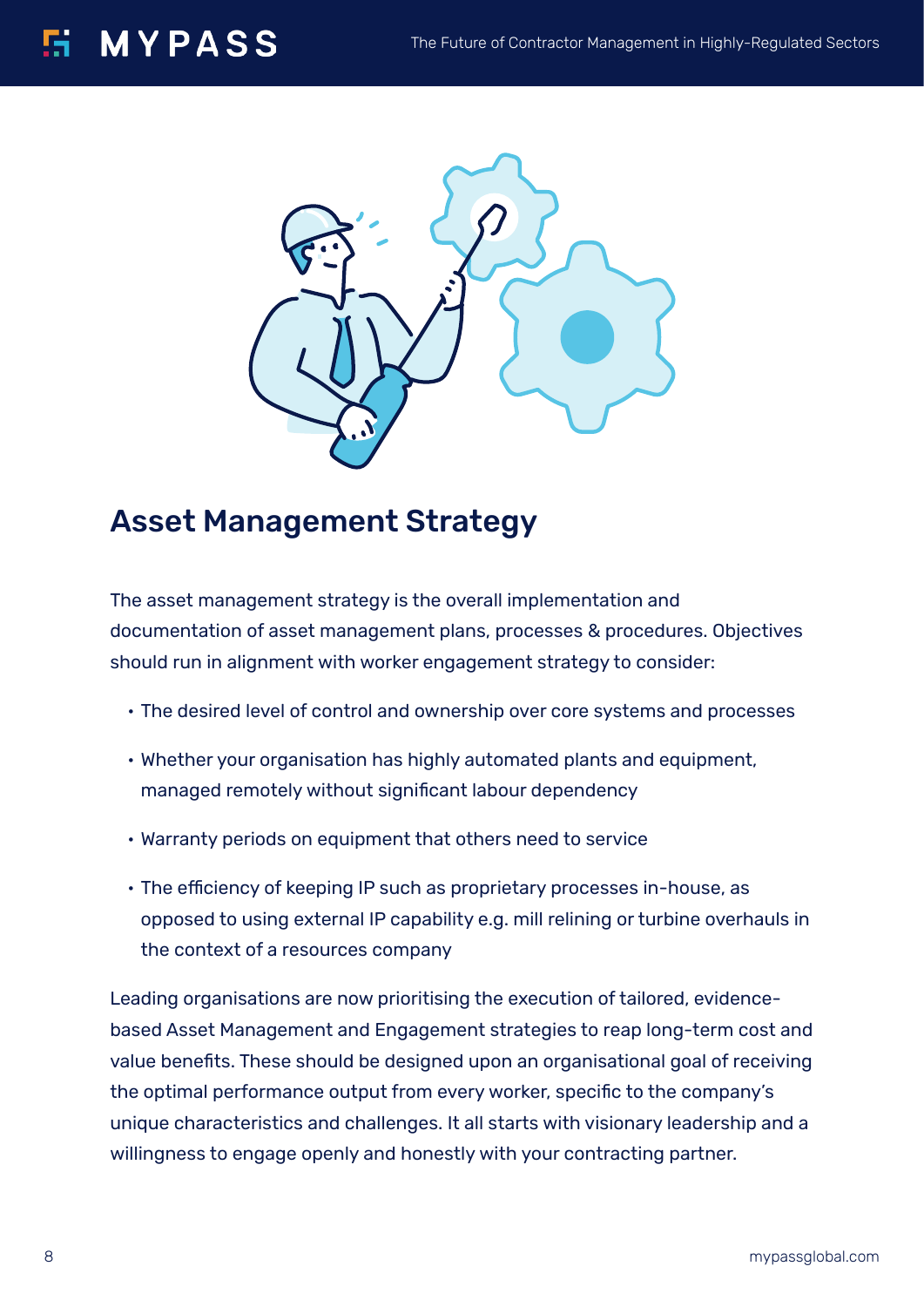

### Asset Management Strategy

The asset management strategy is the overall implementation and documentation of asset management plans, processes & procedures. Objectives should run in alignment with worker engagement strategy to consider:

- The desired level of control and ownership over core systems and processes
- Whether your organisation has highly automated plants and equipment, managed remotely without significant labour dependency
- Warranty periods on equipment that others need to service
- The efficiency of keeping IP such as proprietary processes in-house, as opposed to using external IP capability e.g. mill relining or turbine overhauls in the context of a resources company

Leading organisations are now prioritising the execution of tailored, evidencebased Asset Management and Engagement strategies to reap long-term cost and value benefits. These should be designed upon an organisational goal of receiving the optimal performance output from every worker, specific to the company's unique characteristics and challenges. It all starts with visionary leadership and a willingness to engage openly and honestly with your contracting partner.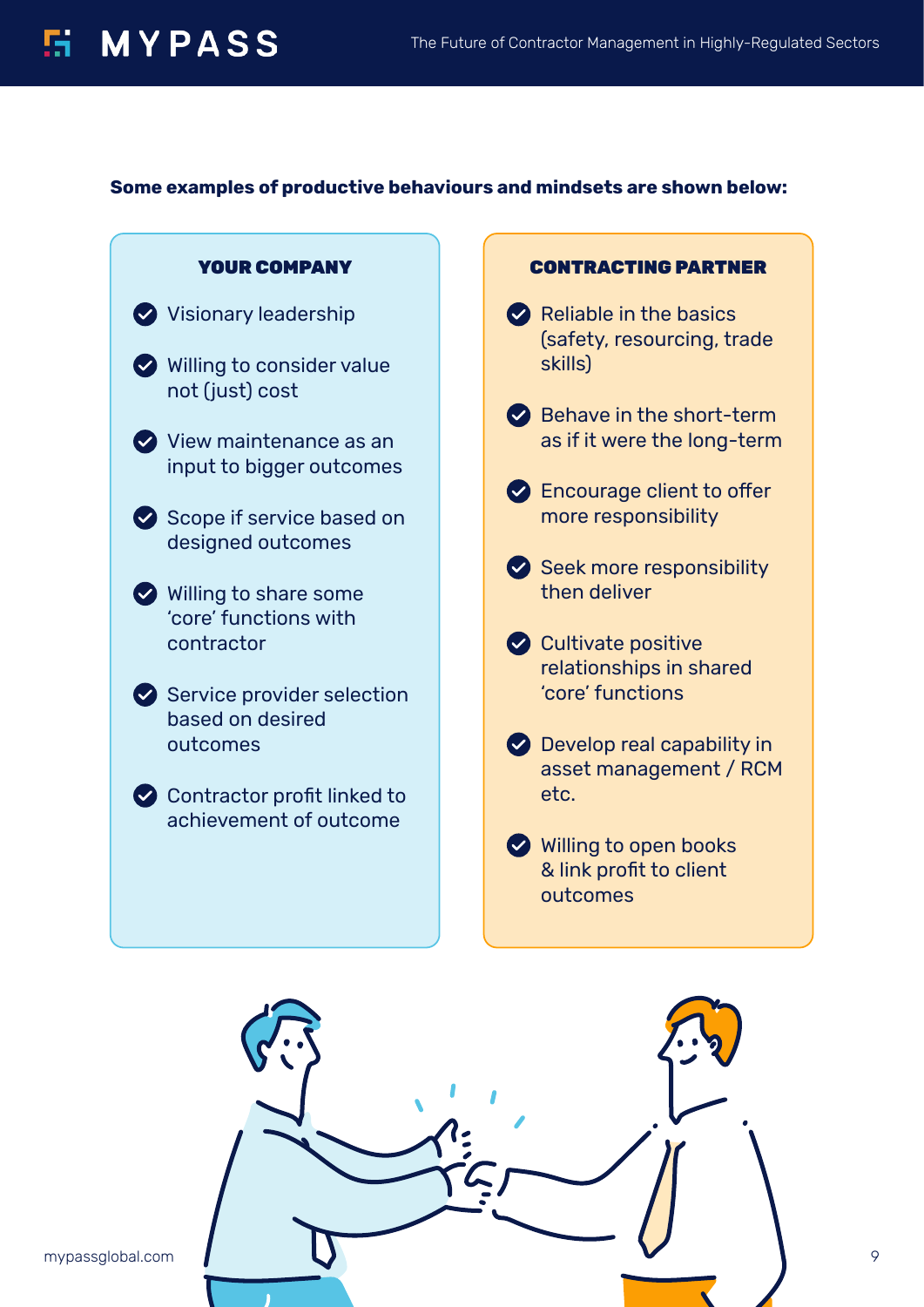#### **Some examples of productive behaviours and mindsets are shown below:**



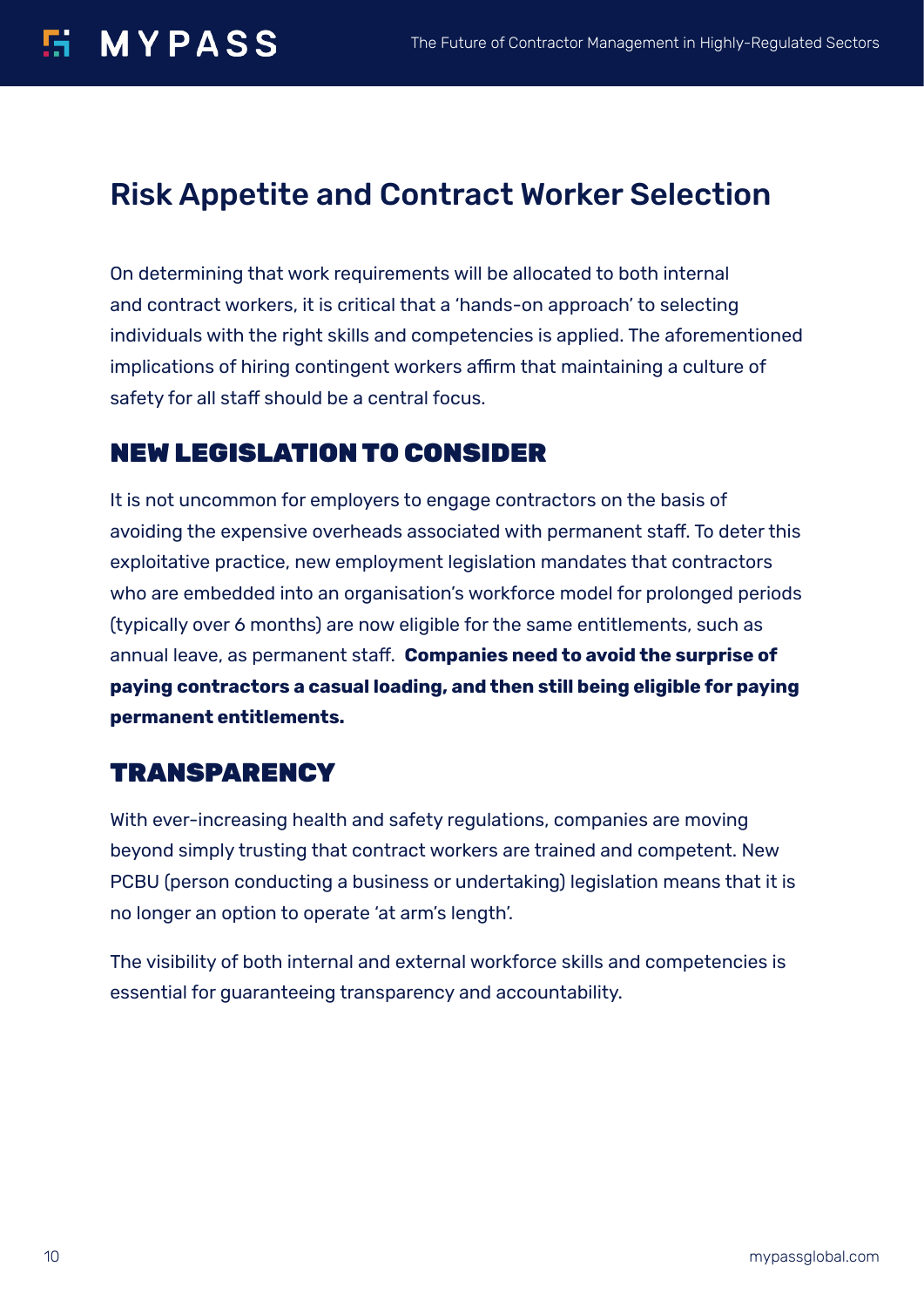### Risk Appetite and Contract Worker Selection

On determining that work requirements will be allocated to both internal and contract workers, it is critical that a 'hands-on approach' to selecting individuals with the right skills and competencies is applied. The aforementioned implications of hiring contingent workers affirm that maintaining a culture of safety for all staff should be a central focus.

#### NEW LEGISLATION TO CONSIDER

It is not uncommon for employers to engage contractors on the basis of avoiding the expensive overheads associated with permanent staff. To deter this exploitative practice, new employment legislation mandates that contractors who are embedded into an organisation's workforce model for prolonged periods (typically over 6 months) are now eligible for the same entitlements, such as annual leave, as permanent staff. **Companies need to avoid the surprise of paying contractors a casual loading, and then still being eligible for paying permanent entitlements.**

#### **TRANSPARENCY**

With ever-increasing health and safety regulations, companies are moving beyond simply trusting that contract workers are trained and competent. New PCBU (person conducting a business or undertaking) legislation means that it is no longer an option to operate 'at arm's length'.

The visibility of both internal and external workforce skills and competencies is essential for guaranteeing transparency and accountability.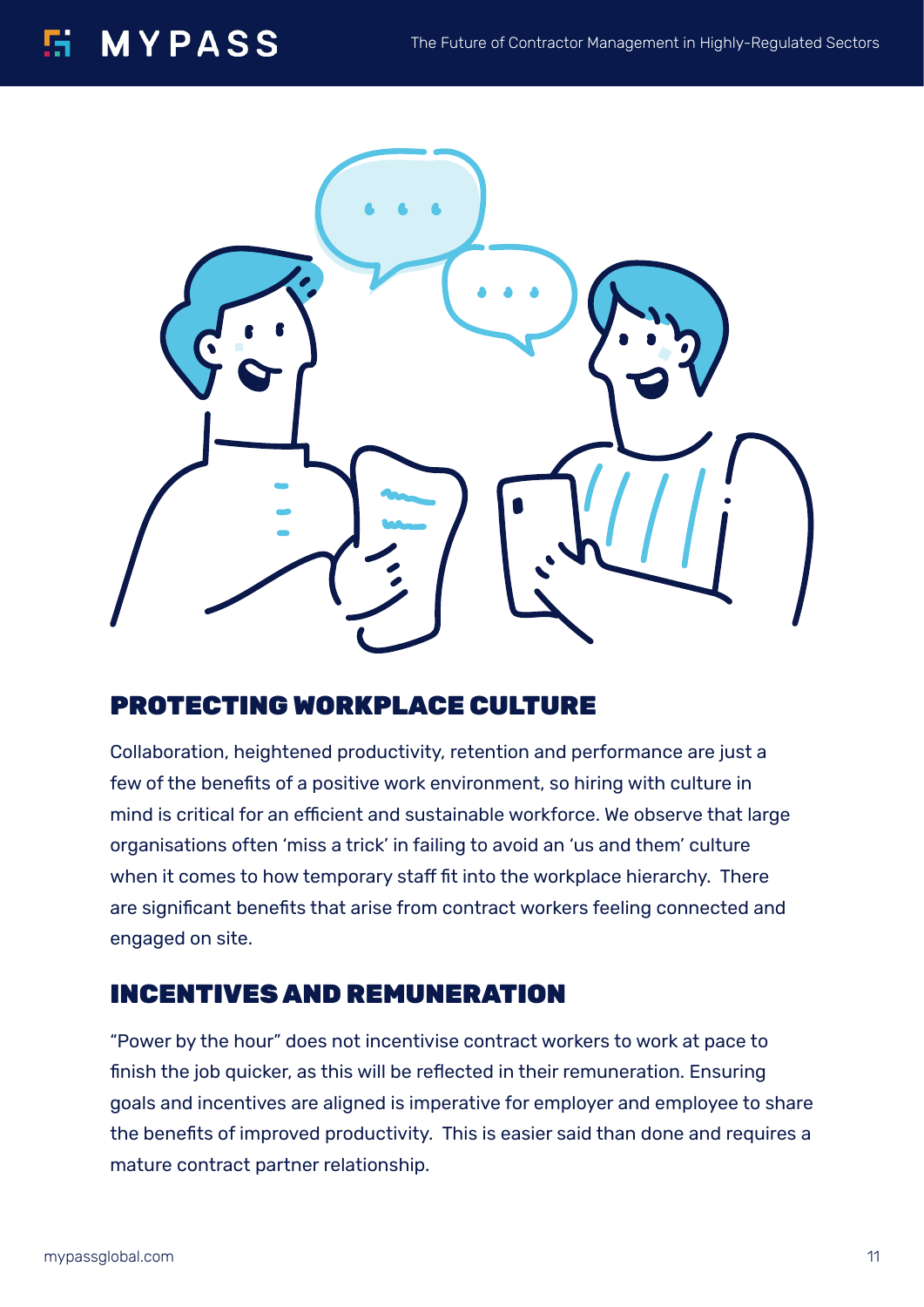#### 51. **MYPASS**



#### PROTECTING WORKPLACE CULTURE

Collaboration, heightened productivity, retention and performance are just a few of the benefits of a positive work environment, so hiring with culture in mind is critical for an efficient and sustainable workforce. We observe that large organisations often 'miss a trick' in failing to avoid an 'us and them' culture when it comes to how temporary staff fit into the workplace hierarchy. There are significant benefits that arise from contract workers feeling connected and engaged on site.

#### INCENTIVES AND REMUNERATION

"Power by the hour" does not incentivise contract workers to work at pace to finish the job quicker, as this will be reflected in their remuneration. Ensuring goals and incentives are aligned is imperative for employer and employee to share the benefits of improved productivity. This is easier said than done and requires a mature contract partner relationship.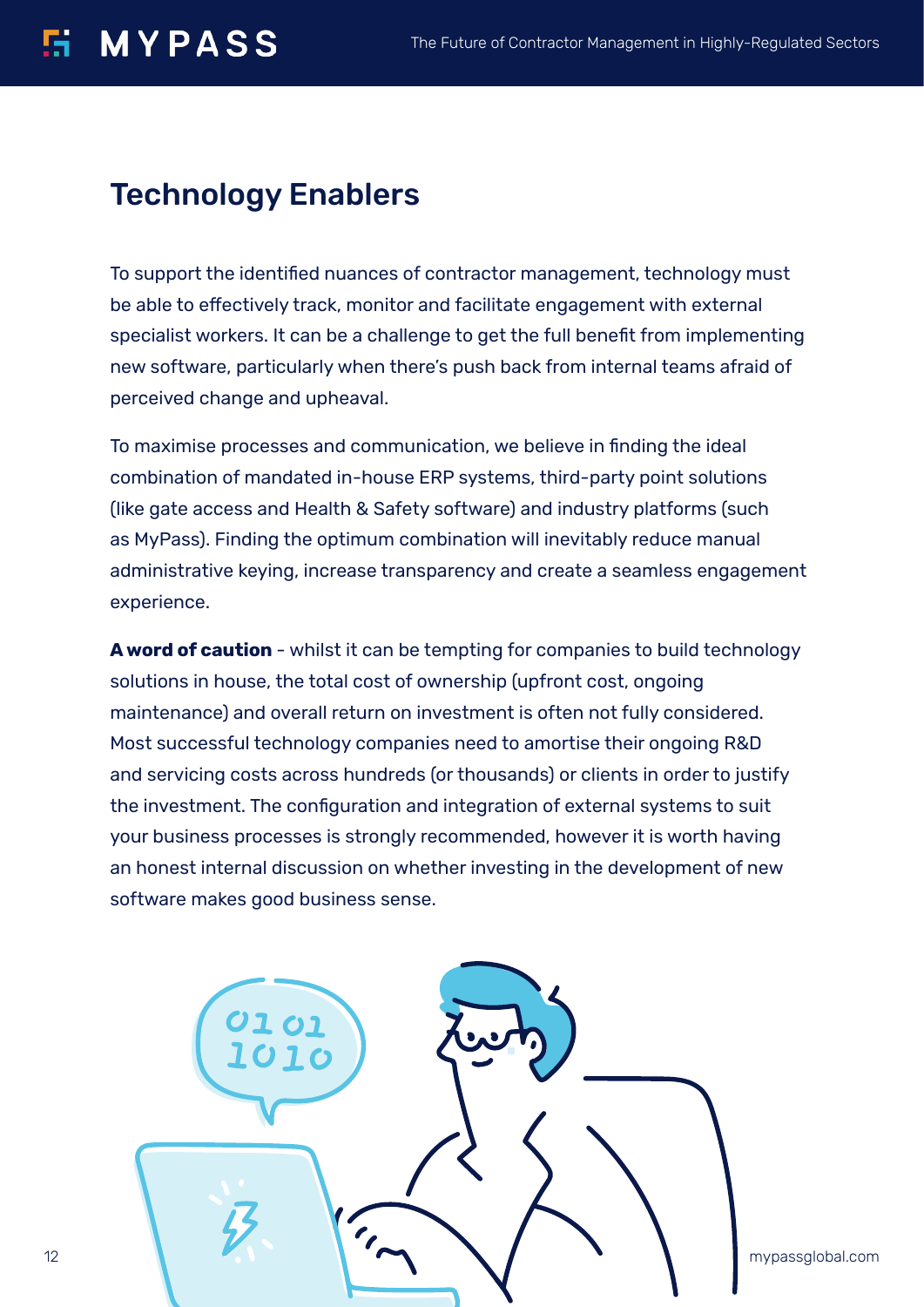## **H** MYPASS

#### Technology Enablers

To support the identified nuances of contractor management, technology must be able to effectively track, monitor and facilitate engagement with external specialist workers. It can be a challenge to get the full benefit from implementing new software, particularly when there's push back from internal teams afraid of perceived change and upheaval.

To maximise processes and communication, we believe in finding the ideal combination of mandated in-house ERP systems, third-party point solutions (like gate access and Health & Safety software) and industry platforms (such as MyPass). Finding the optimum combination will inevitably reduce manual administrative keying, increase transparency and create a seamless engagement experience.

**A word of caution** - whilst it can be tempting for companies to build technology solutions in house, the total cost of ownership (upfront cost, ongoing maintenance) and overall return on investment is often not fully considered. Most successful technology companies need to amortise their ongoing R&D and servicing costs across hundreds (or thousands) or clients in order to justify the investment. The configuration and integration of external systems to suit your business processes is strongly recommended, however it is worth having an honest internal discussion on whether investing in the development of new software makes good business sense.

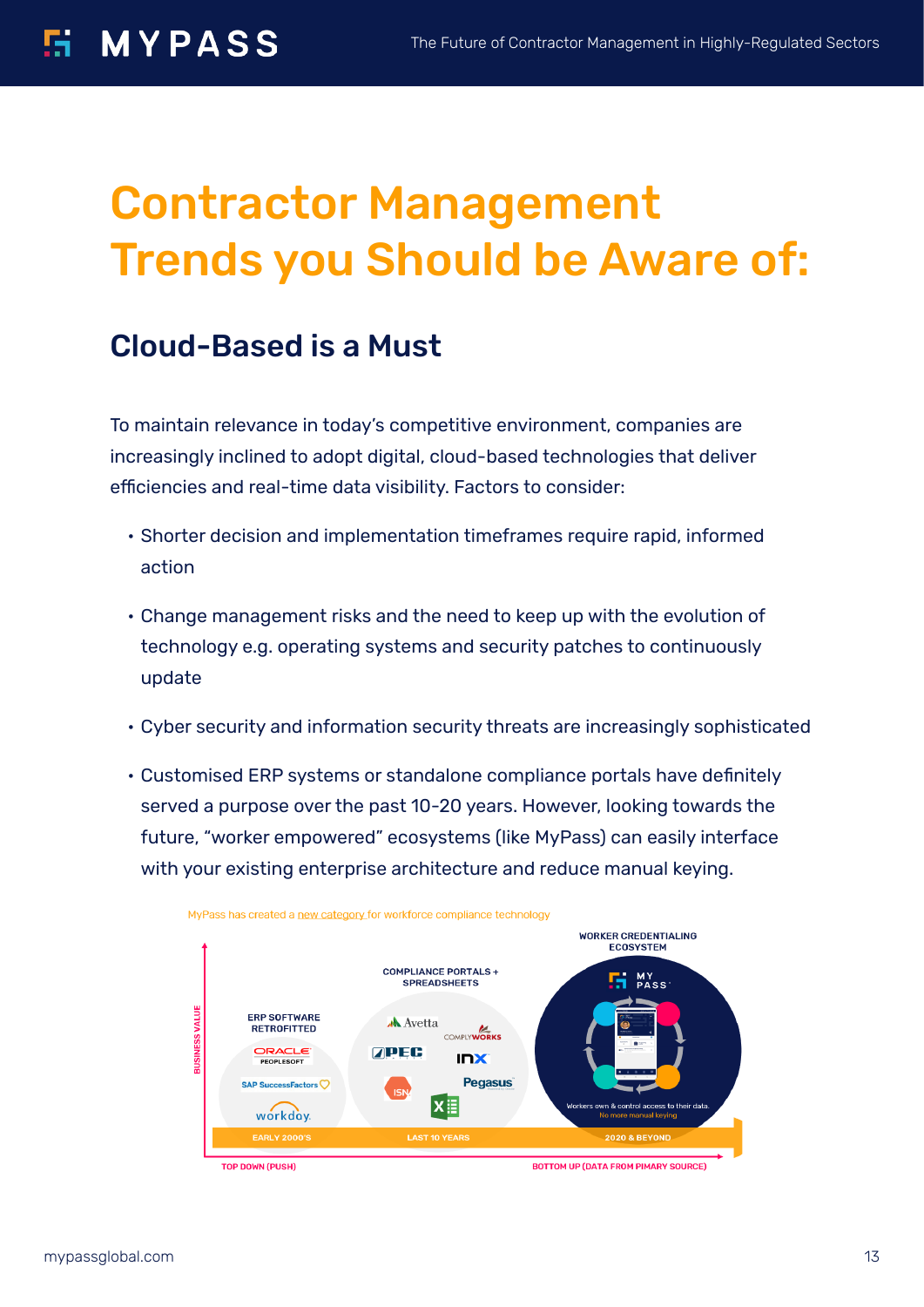# Contractor Management Trends you Should be Aware of:

### Cloud-Based is a Must

To maintain relevance in today's competitive environment, companies are increasingly inclined to adopt digital, cloud-based technologies that deliver efficiencies and real-time data visibility. Factors to consider:

- Shorter decision and implementation timeframes require rapid, informed action
- Change management risks and the need to keep up with the evolution of technology e.g. operating systems and security patches to continuously update
- Cyber security and information security threats are increasingly sophisticated
- Customised ERP systems or standalone compliance portals have definitely served a purpose over the past 10-20 years. However, looking towards the future, "worker empowered" ecosystems (like MyPass) can easily interface with your existing enterprise architecture and reduce manual keying.



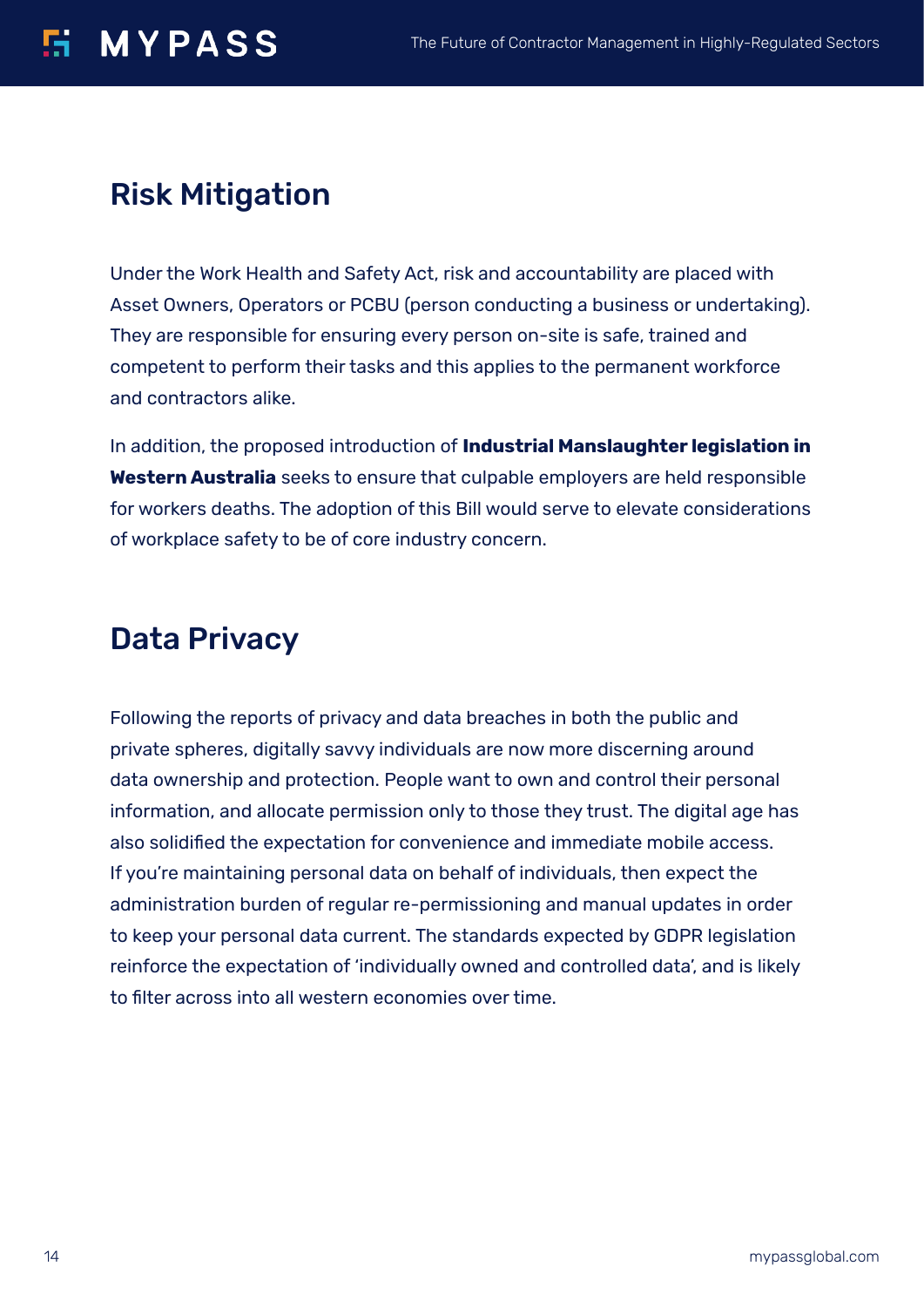## **H** MYPASS

## Risk Mitigation

Under the Work Health and Safety Act, risk and accountability are placed with Asset Owners, Operators or PCBU (person conducting a business or undertaking). They are responsible for ensuring every person on-site is safe, trained and competent to perform their tasks and this applies to the permanent workforce and contractors alike.

In addition, the proposed introduction of **Industrial Manslaughter legislation in Western Australia** seeks to ensure that culpable employers are held responsible for workers deaths. The adoption of this Bill would serve to elevate considerations of workplace safety to be of core industry concern.

### Data Privacy

Following the reports of privacy and data breaches in both the public and private spheres, digitally savvy individuals are now more discerning around data ownership and protection. People want to own and control their personal information, and allocate permission only to those they trust. The digital age has also solidified the expectation for convenience and immediate mobile access. If you're maintaining personal data on behalf of individuals, then expect the administration burden of regular re-permissioning and manual updates in order to keep your personal data current. The standards expected by GDPR legislation reinforce the expectation of 'individually owned and controlled data', and is likely to filter across into all western economies over time.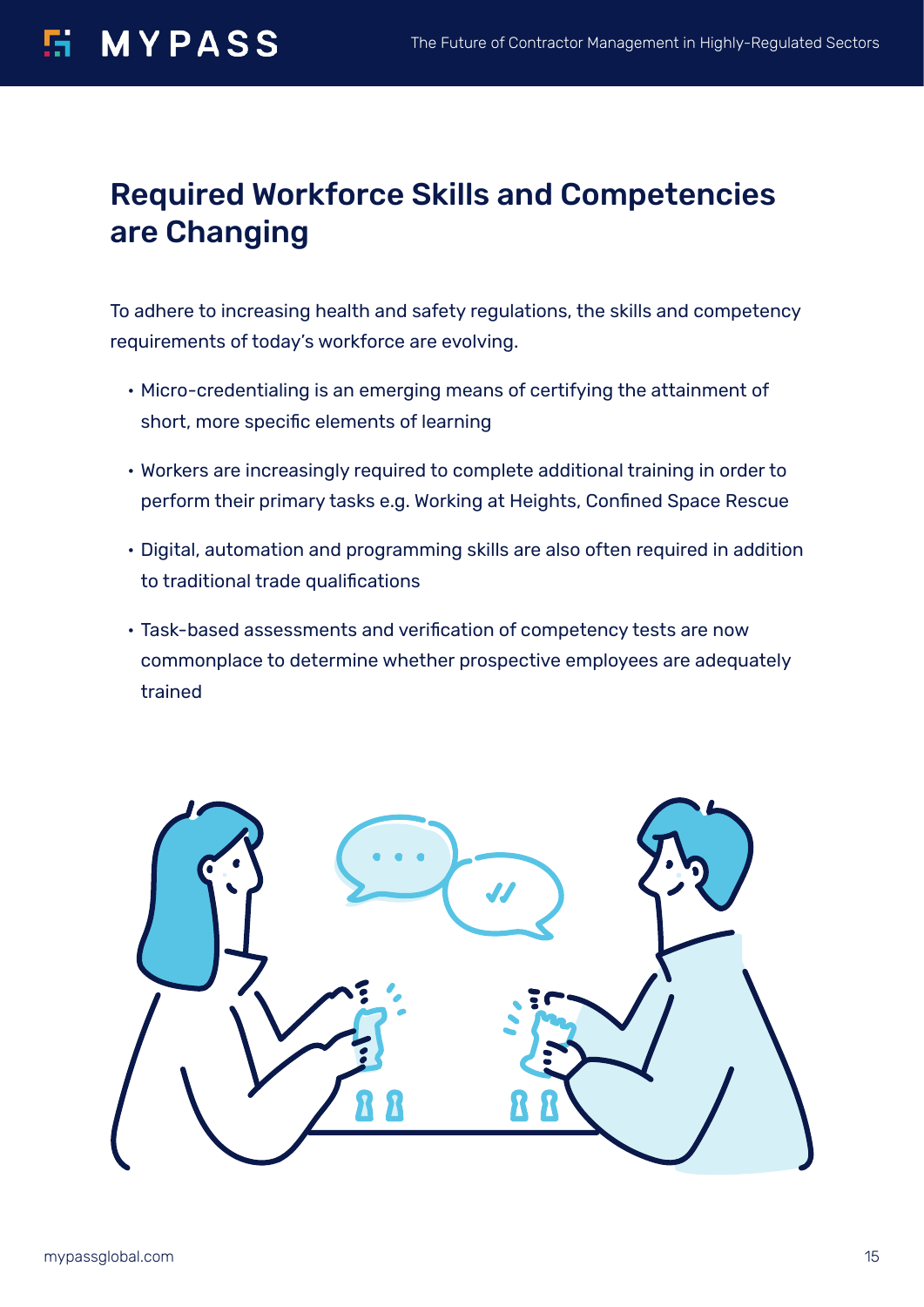### Required Workforce Skills and Competencies are Changing

To adhere to increasing health and safety regulations, the skills and competency requirements of today's workforce are evolving.

- Micro-credentialing is an emerging means of certifying the attainment of short, more specific elements of learning
- Workers are increasingly required to complete additional training in order to perform their primary tasks e.g. Working at Heights, Confined Space Rescue
- Digital, automation and programming skills are also often required in addition to traditional trade qualifications
- Task-based assessments and verification of competency tests are now commonplace to determine whether prospective employees are adequately trained

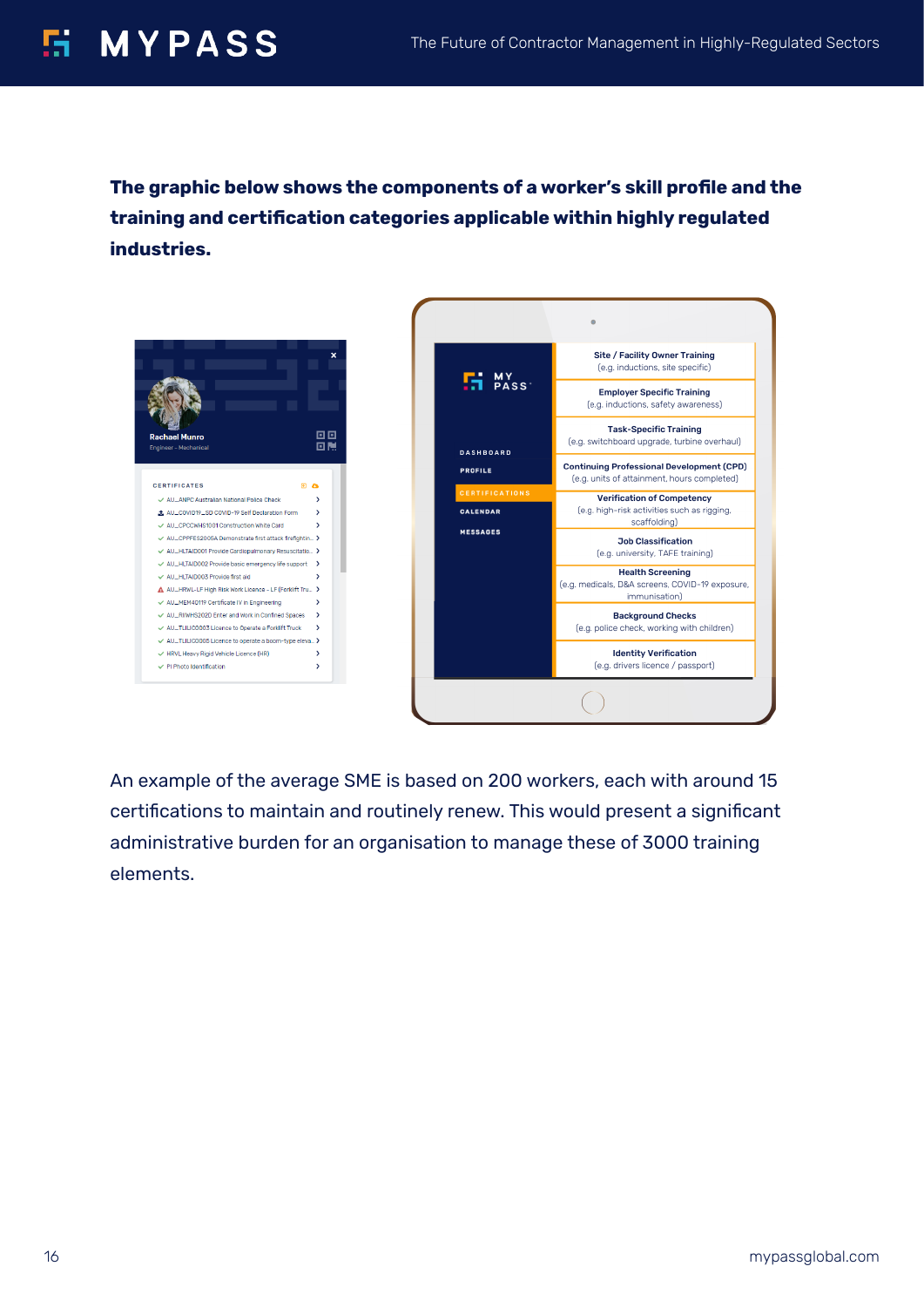## **E MYPASS**

**The graphic below shows the components of a worker's skill profile and the training and certification categories applicable within highly regulated industries.**





An example of the average SME is based on 200 workers, each with around 15 certifications to maintain and routinely renew. This would present a significant administrative burden for an organisation to manage these of 3000 training elements.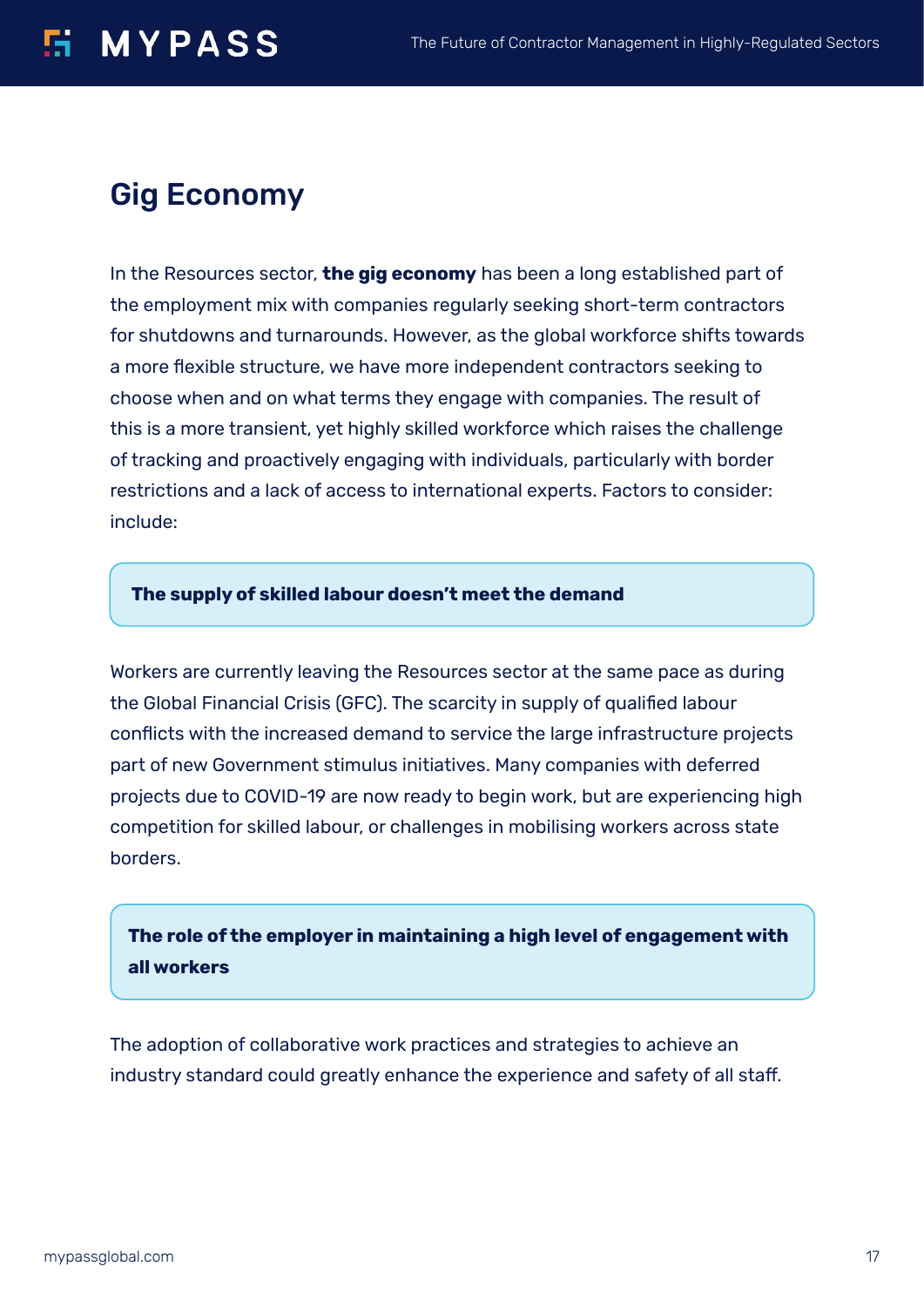## **MYPASS**

### Gig Economy

In the Resources sector, **the gig economy** has been a long established part of the employment mix with companies regularly seeking short-term contractors for shutdowns and turnarounds. However, as the global workforce shifts towards a more flexible structure, we have more independent contractors seeking to choose when and on what terms they engage with companies. The result of this is a more transient, yet highly skilled workforce which raises the challenge of tracking and proactively engaging with individuals, particularly with border restrictions and a lack of access to international experts. Factors to consider: include:

#### **The supply of skilled labour doesn't meet the demand**

Workers are currently leaving the Resources sector at the same pace as during the Global Financial Crisis (GFC). The scarcity in supply of qualified labour conflicts with the increased demand to service the large infrastructure projects part of new Government stimulus initiatives. Many companies with deferred projects due to COVID-19 are now ready to begin work, but are experiencing high competition for skilled labour, or challenges in mobilising workers across state borders.

#### **The role of the employer in maintaining a high level of engagement with all workers**

The adoption of collaborative work practices and strategies to achieve an industry standard could greatly enhance the experience and safety of all staff.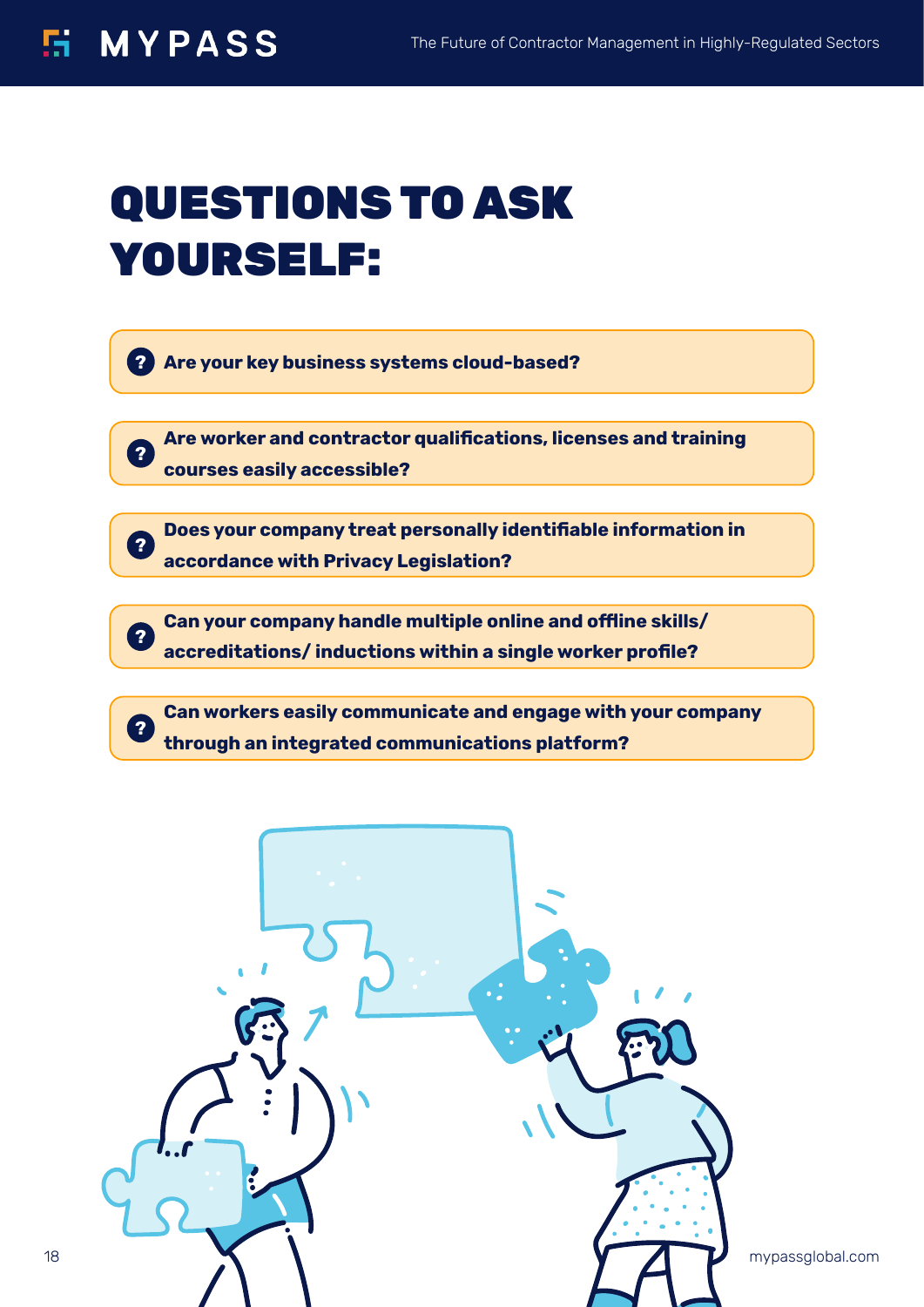**?**

**?**

**?**

**?**

# QUESTIONS TO ASK YOURSELF:

**Are your key business systems cloud-based? ?**

**Are worker and contractor qualifications, licenses and training courses easily accessible?**

**Does your company treat personally identifiable information in accordance with Privacy Legislation?**

**Can your company handle multiple online and offline skills/ accreditations/ inductions within a single worker profile?**

**Can workers easily communicate and engage with your company through an integrated communications platform?**

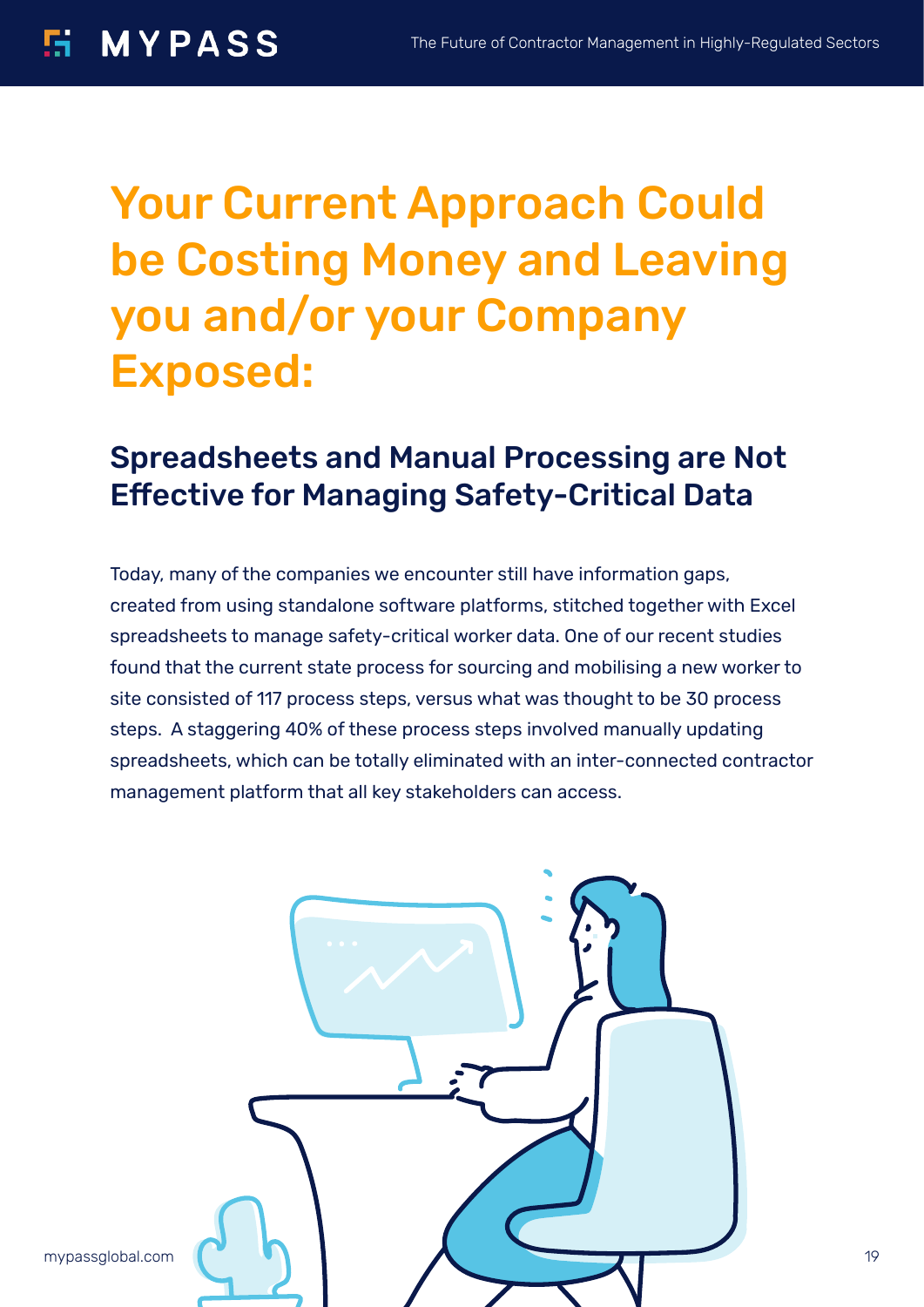# Your Current Approach Could be Costing Money and Leaving you and/or your Company Exposed:

### Spreadsheets and Manual Processing are Not Effective for Managing Safety-Critical Data

Today, many of the companies we encounter still have information gaps, created from using standalone software platforms, stitched together with Excel spreadsheets to manage safety-critical worker data. One of our recent studies found that the current state process for sourcing and mobilising a new worker to site consisted of 117 process steps, versus what was thought to be 30 process steps. A staggering 40% of these process steps involved manually updating spreadsheets, which can be totally eliminated with an inter-connected contractor management platform that all key stakeholders can access.

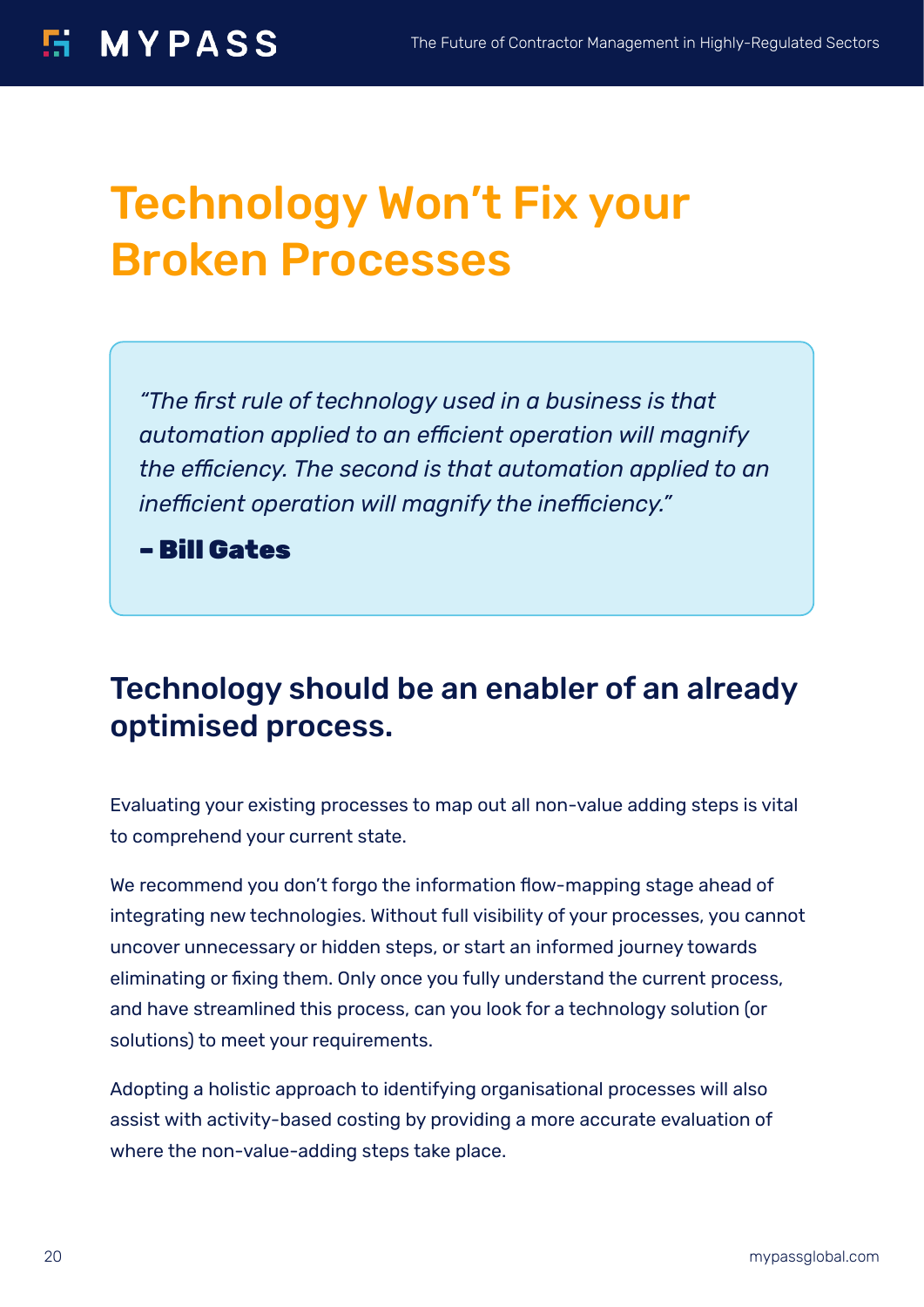# Technology Won't Fix your Broken Processes

*"The first rule of technology used in a business is that automation applied to an efficient operation will magnify the efficiency. The second is that automation applied to an inefficient operation will magnify the inefficiency."*

– Bill Gates

### Technology should be an enabler of an already optimised process.

Evaluating your existing processes to map out all non-value adding steps is vital to comprehend your current state.

We recommend you don't forgo the information flow-mapping stage ahead of integrating new technologies. Without full visibility of your processes, you cannot uncover unnecessary or hidden steps, or start an informed journey towards eliminating or fixing them. Only once you fully understand the current process, and have streamlined this process, can you look for a technology solution (or solutions) to meet your requirements.

Adopting a holistic approach to identifying organisational processes will also assist with activity-based costing by providing a more accurate evaluation of where the non-value-adding steps take place.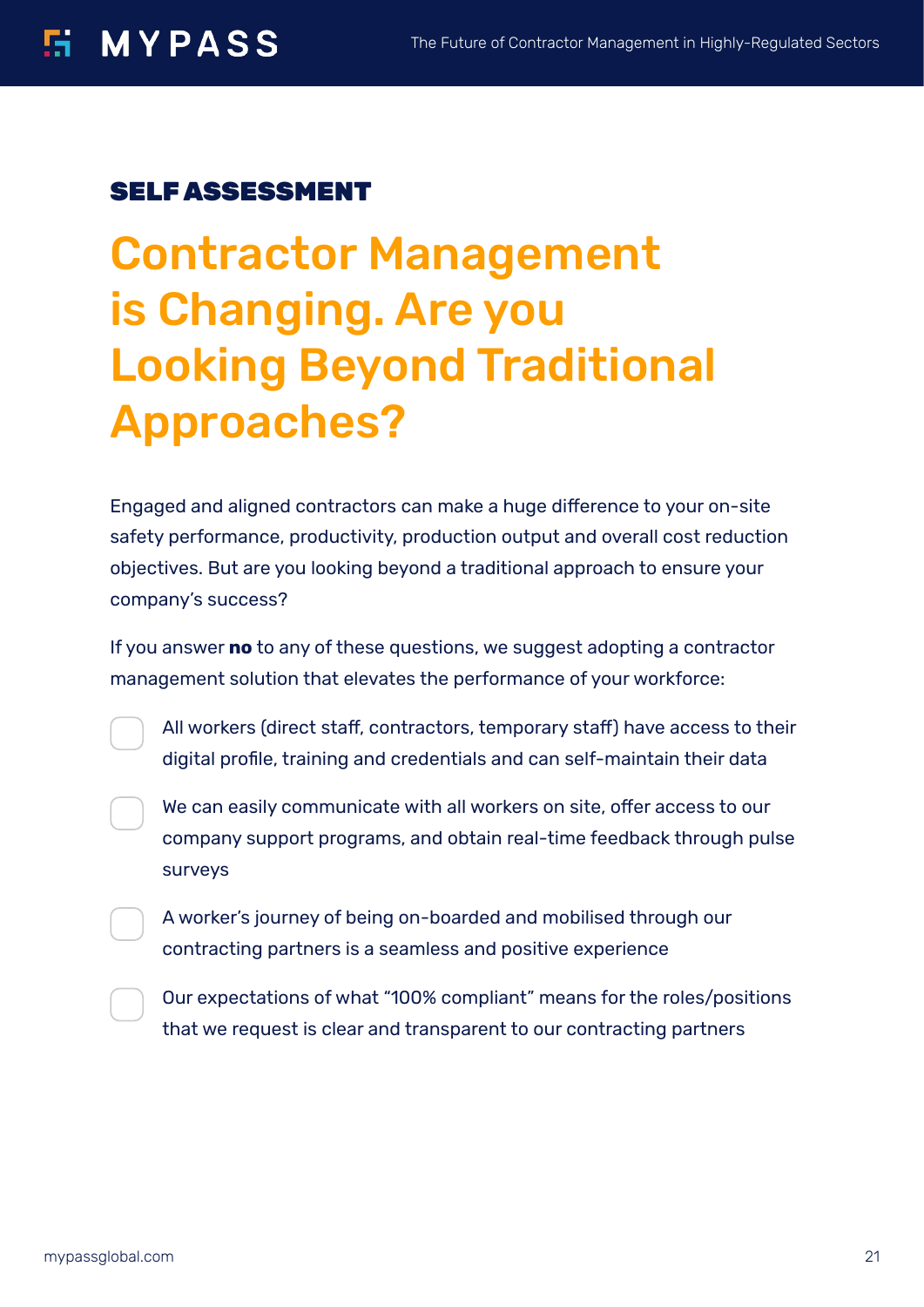#### SELF ASSESSMENT

Contractor Management is Changing. Are you Looking Beyond Traditional Approaches?

Engaged and aligned contractors can make a huge difference to your on-site safety performance, productivity, production output and overall cost reduction objectives. But are you looking beyond a traditional approach to ensure your company's success?

If you answer **no** to any of these questions, we suggest adopting a contractor management solution that elevates the performance of your workforce:

All workers (direct staff, contractors, temporary staff) have access to their digital profile, training and credentials and can self-maintain their data

We can easily communicate with all workers on site, offer access to our company support programs, and obtain real-time feedback through pulse surveys

A worker's journey of being on-boarded and mobilised through our contracting partners is a seamless and positive experience

Our expectations of what "100% compliant" means for the roles/positions that we request is clear and transparent to our contracting partners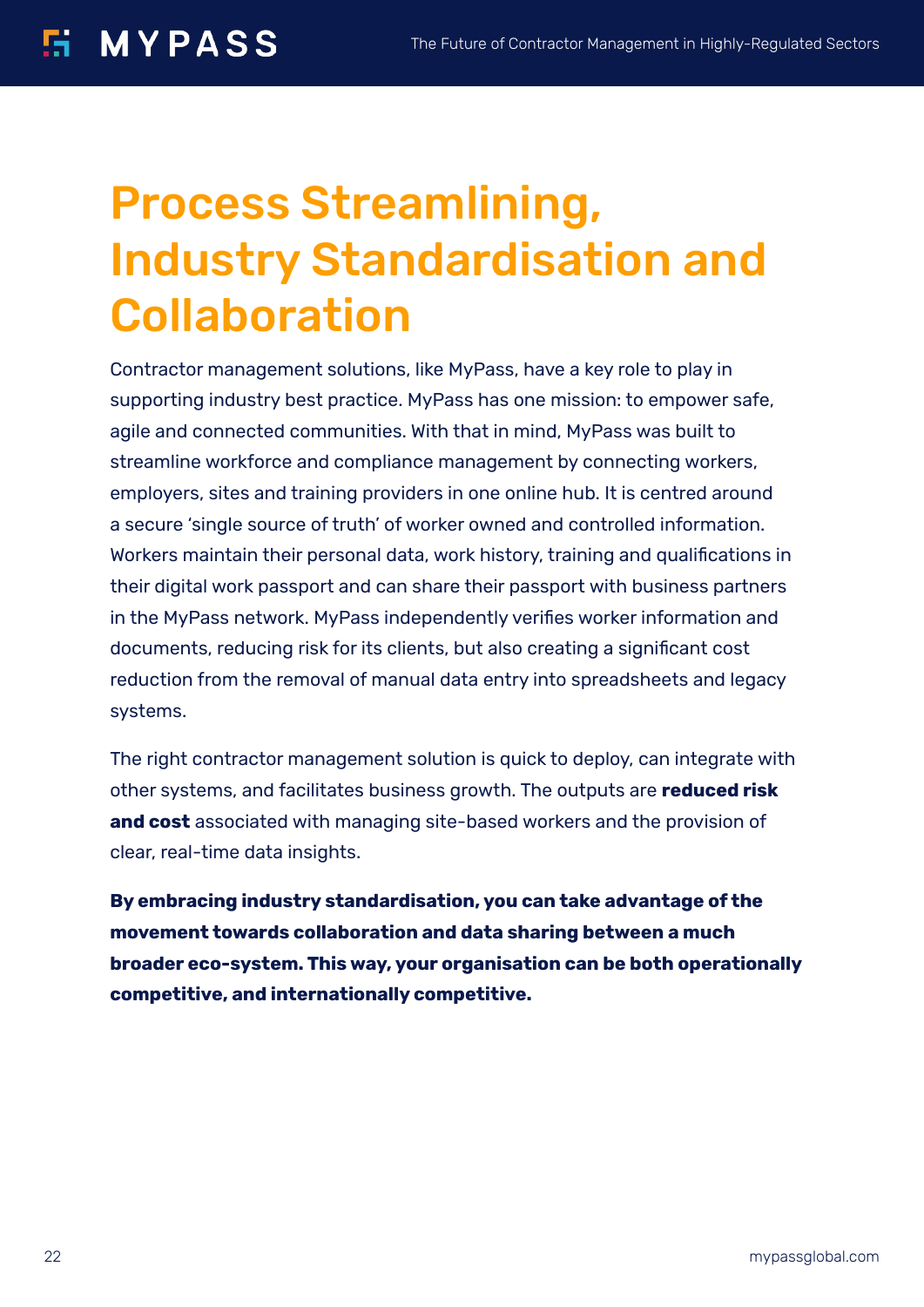# Process Streamlining, Industry Standardisation and Collaboration

Contractor management solutions, like MyPass, have a key role to play in supporting industry best practice. MyPass has one mission: to empower safe, agile and connected communities. With that in mind, MyPass was built to streamline workforce and compliance management by connecting workers, employers, sites and training providers in one online hub. It is centred around a secure 'single source of truth' of worker owned and controlled information. Workers maintain their personal data, work history, training and qualifications in their digital work passport and can share their passport with business partners in the MyPass network. MyPass independently verifies worker information and documents, reducing risk for its clients, but also creating a significant cost reduction from the removal of manual data entry into spreadsheets and legacy systems.

The right contractor management solution is quick to deploy, can integrate with other systems, and facilitates business growth. The outputs are **reduced risk and cost** associated with managing site-based workers and the provision of clear, real-time data insights.

**By embracing industry standardisation, you can take advantage of the movement towards collaboration and data sharing between a much broader eco-system. This way, your organisation can be both operationally competitive, and internationally competitive.**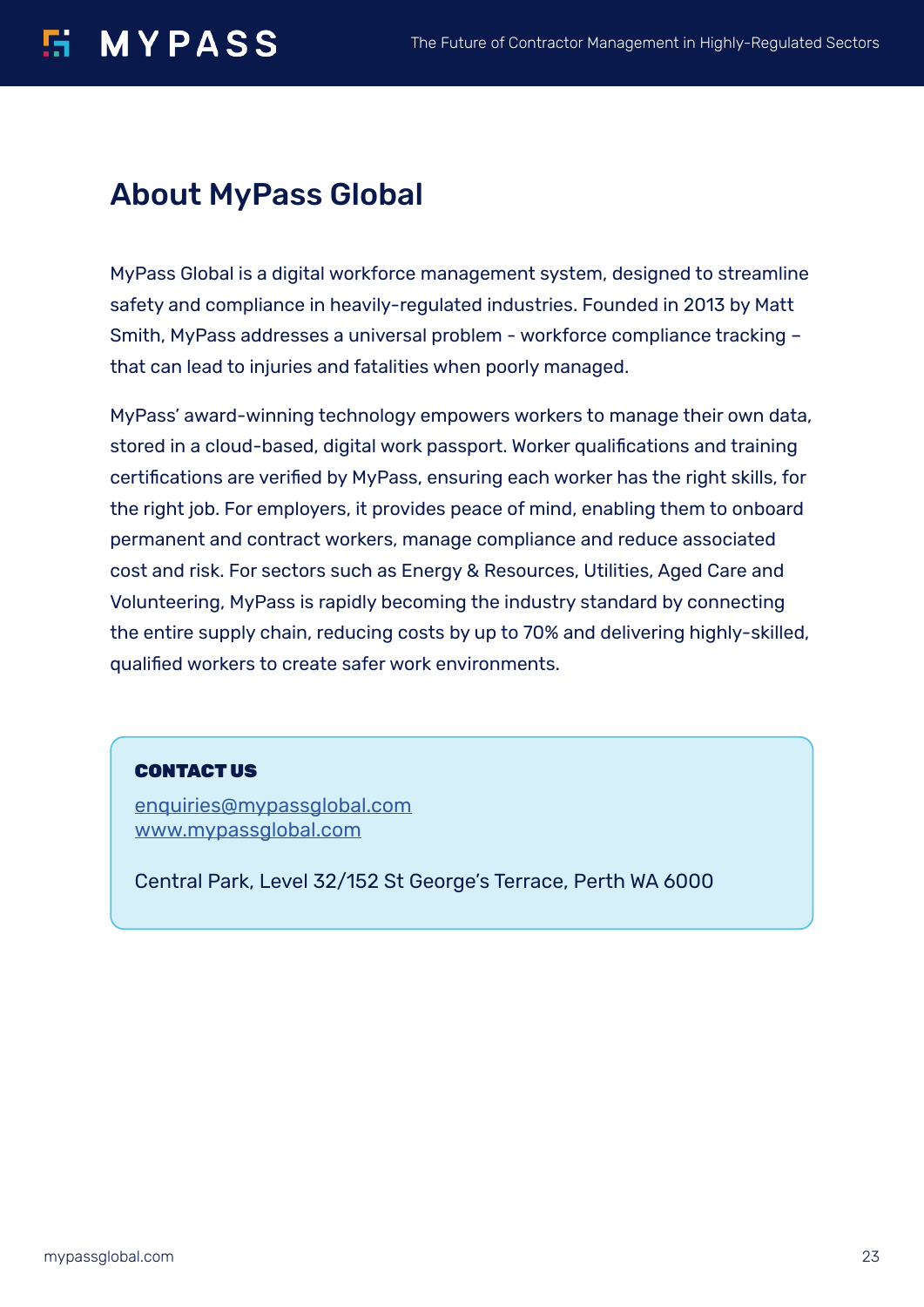#### **MYPASS** rg –

### About MyPass Global

MyPass Global is a digital workforce management system, designed to streamline safety and compliance in heavily-regulated industries. Founded in 2013 by Matt Smith, MyPass addresses a universal problem - workforce compliance tracking – that can lead to injuries and fatalities when poorly managed.

MyPass' award-winning technology empowers workers to manage their own data, stored in a cloud-based, digital work passport. Worker qualifications and training certifications are verified by MyPass, ensuring each worker has the right skills, for the right job. For employers, it provides peace of mind, enabling them to onboard permanent and contract workers, manage compliance and reduce associated cost and risk. For sectors such as Energy & Resources, Utilities, Aged Care and Volunteering, MyPass is rapidly becoming the industry standard by connecting the entire supply chain, reducing costs by up to 70% and delivering highly-skilled, qualified workers to create safer work environments.

#### CONTACT US

enquiries@mypassglobal.com www.mypassglobal.com

Central Park, Level 32/152 St George's Terrace, Perth WA 6000